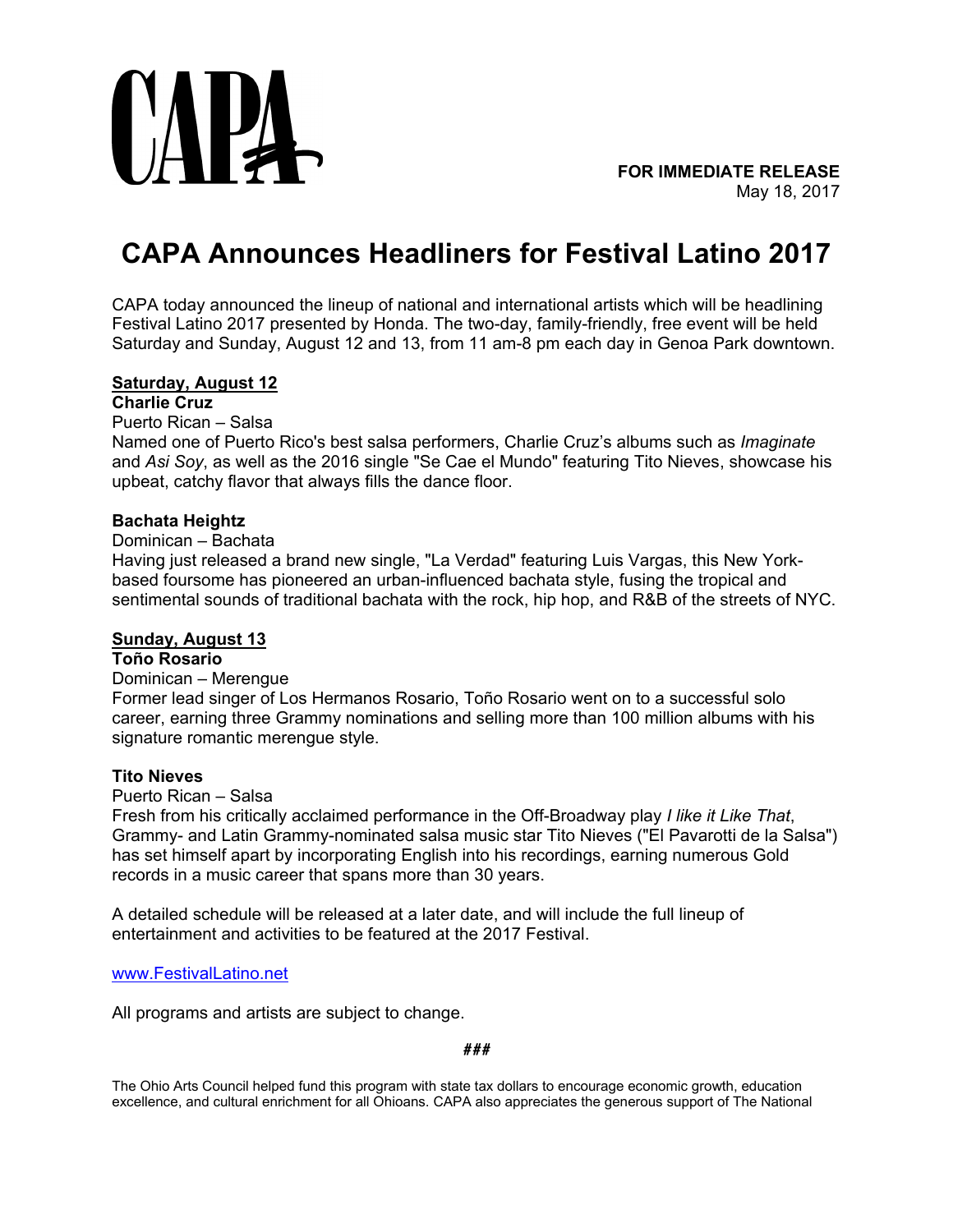

# **CAPA Announces Headliners for Festival Latino 2017**

CAPA today announced the lineup of national and international artists which will be headlining Festival Latino 2017 presented by Honda. The two-day, family-friendly, free event will be held Saturday and Sunday, August 12 and 13, from 11 am-8 pm each day in Genoa Park downtown.

## **Saturday, August 12**

# **Charlie Cruz**

Puerto Rican – Salsa

Named one of Puerto Rico's best salsa performers, Charlie Cruz's albums such as *Imaginate* and *Asi Soy*, as well as the 2016 single "Se Cae el Mundo" featuring Tito Nieves, showcase his upbeat, catchy flavor that always fills the dance floor.

### **Bachata Heightz**

## Dominican – Bachata

Having just released a brand new single, "La Verdad" featuring Luis Vargas, this New Yorkbased foursome has pioneered an urban-influenced bachata style, fusing the tropical and sentimental sounds of traditional bachata with the rock, hip hop, and R&B of the streets of NYC.

#### **Sunday, August 13**

## **Toño Rosario**

### Dominican – Merengue

Former lead singer of Los Hermanos Rosario, Toño Rosario went on to a successful solo career, earning three Grammy nominations and selling more than 100 million albums with his signature romantic merengue style.

#### **Tito Nieves**

### Puerto Rican – Salsa

Fresh from his critically acclaimed performance in the Off-Broadway play *I like it Like That*, Grammy- and Latin Grammy-nominated salsa music star Tito Nieves ("El Pavarotti de la Salsa") has set himself apart by incorporating English into his recordings, earning numerous Gold records in a music career that spans more than 30 years.

A detailed schedule will be released at a later date, and will include the full lineup of entertainment and activities to be featured at the 2017 Festival.

#### [www.FestivalLatino.net](http://www.festivallatino.net/)

All programs and artists are subject to change.

#### *###*

The Ohio Arts Council helped fund this program with state tax dollars to encourage economic growth, education excellence, and cultural enrichment for all Ohioans. CAPA also appreciates the generous support of The National